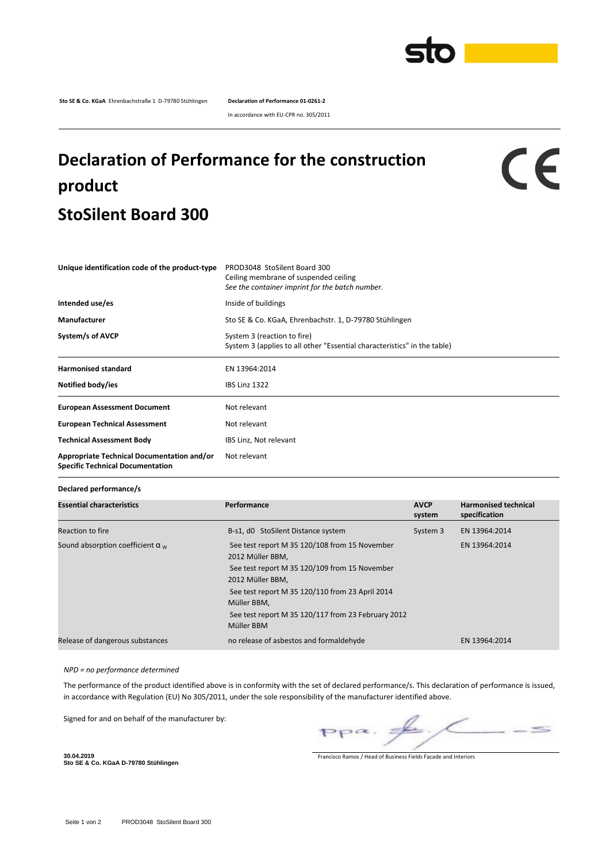

**Sto SE & Co. KGaA** Ehrenbachstraße 1 D-79780 Stühlingen **Declaration of Performance 01-0261-2**

In accordance with EU-CPR no. 305/2011

## **Declaration of Performance for the construction product StoSilent Board 300**

## $c\epsilon$

| Unique identification code of the product-type                                        | PROD3048 StoSilent Board 300<br>Ceiling membrane of suspended ceiling<br>See the container imprint for the batch number. |
|---------------------------------------------------------------------------------------|--------------------------------------------------------------------------------------------------------------------------|
| Intended use/es                                                                       | Inside of buildings                                                                                                      |
| Manufacturer                                                                          | Sto SE & Co. KGaA, Ehrenbachstr. 1, D-79780 Stühlingen                                                                   |
| System/s of AVCP                                                                      | System 3 (reaction to fire)<br>System 3 (applies to all other "Essential characteristics" in the table)                  |
| <b>Harmonised standard</b>                                                            | EN 13964:2014                                                                                                            |
| Notified body/ies                                                                     | <b>IBS Linz 1322</b>                                                                                                     |
| <b>European Assessment Document</b>                                                   | Not relevant                                                                                                             |
| <b>European Technical Assessment</b>                                                  | Not relevant                                                                                                             |
| <b>Technical Assessment Body</b>                                                      | IBS Linz, Not relevant                                                                                                   |
| Appropriate Technical Documentation and/or<br><b>Specific Technical Documentation</b> | Not relevant                                                                                                             |

## **Declared performance/s**

| <b>Essential characteristics</b>        | Performance                                                                                                                                                                                                                                                                  | <b>AVCP</b><br>system | <b>Harmonised technical</b><br>specification |
|-----------------------------------------|------------------------------------------------------------------------------------------------------------------------------------------------------------------------------------------------------------------------------------------------------------------------------|-----------------------|----------------------------------------------|
| Reaction to fire                        | B-s1, d0 StoSilent Distance system                                                                                                                                                                                                                                           | System 3              | EN 13964:2014                                |
| Sound absorption coefficient $\alpha_w$ | See test report M 35 120/108 from 15 November<br>2012 Müller BBM,<br>See test report M 35 120/109 from 15 November<br>2012 Müller BBM.<br>See test report M 35 120/110 from 23 April 2014<br>Müller BBM,<br>See test report M 35 120/117 from 23 February 2012<br>Müller BBM |                       | EN 13964:2014                                |
| Release of dangerous substances         | no release of asbestos and formaldehyde                                                                                                                                                                                                                                      |                       | EN 13964:2014                                |

## *NPD = no performance determined*

The performance of the product identified above is in conformity with the set of declared performance/s. This declaration of performance is issued, in accordance with Regulation (EU) No 305/2011, under the sole responsibility of the manufacturer identified above.

Signed for and on behalf of the manufacturer by:

 $\leq$  $PP^{\alpha}$ .

Francisco Ramos / Head of Business Fields Facade and Interiors

**30.04.2019 Sto SE & Co. KGaA D-79780 Stühlingen**